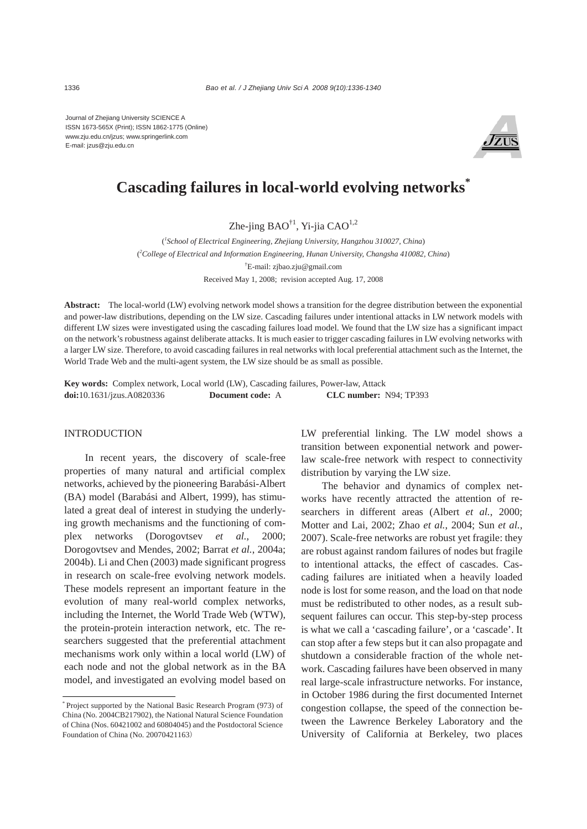Journal of Zhejiang University SCIENCE A ISSN 1673-565X (Print); ISSN 1862-1775 (Online) www.zju.edu.cn/jzus; www.springerlink.com E-mail: jzus@zju.edu.cn



# **Cascading failures in local-world evolving networks\***

Zhe-jing  $BAO^{\dagger 1}$ , Yi-jia CA $O^{1,2}$ 

( *1 School of Electrical Engineering, Zhejiang University, Hangzhou 310027, China*) ( *2 College of Electrical and Information Engineering, Hunan University, Changsha 410082, China*) † E-mail: zjbao.zju@gmail.com Received May 1, 2008; revision accepted Aug. 17, 2008

**Abstract:** The local-world (LW) evolving network model shows a transition for the degree distribution between the exponential and power-law distributions, depending on the LW size. Cascading failures under intentional attacks in LW network models with different LW sizes were investigated using the cascading failures load model. We found that the LW size has a significant impact on the network's robustness against deliberate attacks. It is much easier to trigger cascading failures in LW evolving networks with a larger LW size. Therefore, to avoid cascading failures in real networks with local preferential attachment such as the Internet, the World Trade Web and the multi-agent system, the LW size should be as small as possible.

**Key words:** Complex network, Local world (LW), Cascading failures, Power-law, Attack **doi:**10.1631/jzus.A0820336 **Document code:** A **CLC number:** N94; TP393

#### INTRODUCTION

In recent years, the discovery of scale-free properties of many natural and artificial complex networks, achieved by the pioneering Barabási-Albert (BA) model (Barabási and Albert, 1999), has stimulated a great deal of interest in studying the underlying growth mechanisms and the functioning of complex networks (Dorogovtsev *et al.*, 2000; Dorogovtsev and Mendes, 2002; Barrat *et al.*, 2004a; 2004b). Li and Chen (2003) made significant progress in research on scale-free evolving network models. These models represent an important feature in the evolution of many real-world complex networks, including the Internet, the World Trade Web (WTW), the protein-protein interaction network, etc. The researchers suggested that the preferential attachment mechanisms work only within a local world (LW) of each node and not the global network as in the BA model, and investigated an evolving model based on LW preferential linking. The LW model shows a transition between exponential network and powerlaw scale-free network with respect to connectivity distribution by varying the LW size.

The behavior and dynamics of complex networks have recently attracted the attention of researchers in different areas (Albert *et al.*, 2000; Motter and Lai, 2002; Zhao *et al.*, 2004; Sun *et al.*, 2007). Scale-free networks are robust yet fragile: they are robust against random failures of nodes but fragile to intentional attacks, the effect of cascades. Cascading failures are initiated when a heavily loaded node is lost for some reason, and the load on that node must be redistributed to other nodes, as a result subsequent failures can occur. This step-by-step process is what we call a 'cascading failure', or a 'cascade'. It can stop after a few steps but it can also propagate and shutdown a considerable fraction of the whole network. Cascading failures have been observed in many real large-scale infrastructure networks. For instance, in October 1986 during the first documented Internet congestion collapse, the speed of the connection between the Lawrence Berkeley Laboratory and the University of California at Berkeley, two places

<sup>\*</sup> Project supported by the National Basic Research Program (973) of China (No. 2004CB217902), the National Natural Science Foundation of China (Nos. 60421002 and 60804045) and the Postdoctoral Science Foundation of China (No. 20070421163)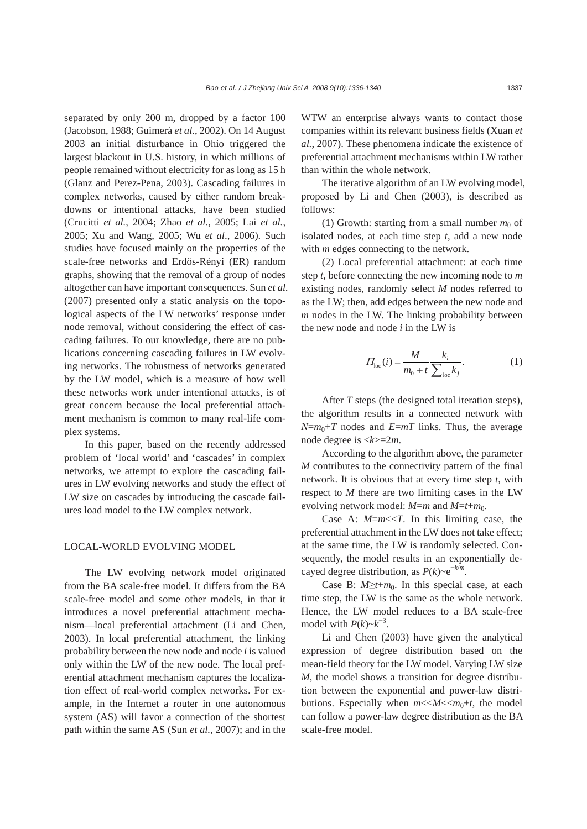separated by only 200 m, dropped by a factor 100 (Jacobson, 1988; Guimerà *et al.*, 2002). On 14 August 2003 an initial disturbance in Ohio triggered the largest blackout in U.S. history, in which millions of people remained without electricity for as long as 15 h (Glanz and Perez-Pena, 2003). Cascading failures in complex networks, caused by either random breakdowns or intentional attacks, have been studied (Crucitti *et al.*, 2004; Zhao *et al.*, 2005; Lai *et al.*, 2005; Xu and Wang, 2005; Wu *et al*., 2006). Such studies have focused mainly on the properties of the scale-free networks and Erdös-Rényi (ER) random graphs, showing that the removal of a group of nodes altogether can have important consequences. Sun *et al.* (2007) presented only a static analysis on the topological aspects of the LW networks' response under node removal, without considering the effect of cascading failures. To our knowledge, there are no publications concerning cascading failures in LW evolving networks. The robustness of networks generated by the LW model, which is a measure of how well these networks work under intentional attacks, is of great concern because the local preferential attachment mechanism is common to many real-life complex systems.

In this paper, based on the recently addressed problem of 'local world' and 'cascades' in complex networks, we attempt to explore the cascading failures in LW evolving networks and study the effect of LW size on cascades by introducing the cascade failures load model to the LW complex network.

## LOCAL-WORLD EVOLVING MODEL

The LW evolving network model originated from the BA scale-free model. It differs from the BA scale-free model and some other models, in that it introduces a novel preferential attachment mechanism—local preferential attachment (Li and Chen, 2003). In local preferential attachment, the linking probability between the new node and node *i* is valued only within the LW of the new node. The local preferential attachment mechanism captures the localization effect of real-world complex networks. For example, in the Internet a router in one autonomous system (AS) will favor a connection of the shortest path within the same AS (Sun *et al.*, 2007); and in the WTW an enterprise always wants to contact those companies within its relevant business fields (Xuan *et al.*, 2007). These phenomena indicate the existence of preferential attachment mechanisms within LW rather than within the whole network.

The iterative algorithm of an LW evolving model, proposed by Li and Chen (2003), is described as follows:

(1) Growth: starting from a small number  $m_0$  of isolated nodes, at each time step *t*, add a new node with *m* edges connecting to the network.

(2) Local preferential attachment: at each time step *t*, before connecting the new incoming node to *m* existing nodes, randomly select *M* nodes referred to as the LW; then, add edges between the new node and *m* nodes in the LW. The linking probability between the new node and node *i* in the LW is

$$
\Pi_{\text{loc}}(i) = \frac{M}{m_0 + t} \frac{k_i}{\sum_{\text{loc}} k_j}.
$$
 (1)

After *T* steps (the designed total iteration steps), the algorithm results in a connected network with  $N=m_0+T$  nodes and  $E=mT$  links. Thus, the average node degree is <*k*>=2*m*.

According to the algorithm above, the parameter *M* contributes to the connectivity pattern of the final network. It is obvious that at every time step *t*, with respect to *M* there are two limiting cases in the LW evolving network model:  $M=m$  and  $M=t+m_0$ .

Case A: *M*=*m*<<*T*. In this limiting case, the preferential attachment in the LW does not take effect; at the same time, the LW is randomly selected. Consequently, the model results in an exponentially decayed degree distribution, as  $P(k) \sim e^{-k/m}$ .

Case B:  $M \geq t+m_0$ . In this special case, at each time step, the LW is the same as the whole network. Hence, the LW model reduces to a BA scale-free model with  $P(k) \sim k^{-3}$ .

Li and Chen (2003) have given the analytical expression of degree distribution based on the mean-field theory for the LW model. Varying LW size *M*, the model shows a transition for degree distribution between the exponential and power-law distributions. Especially when  $m \ll M \ll m_0 + t$ , the model can follow a power-law degree distribution as the BA scale-free model.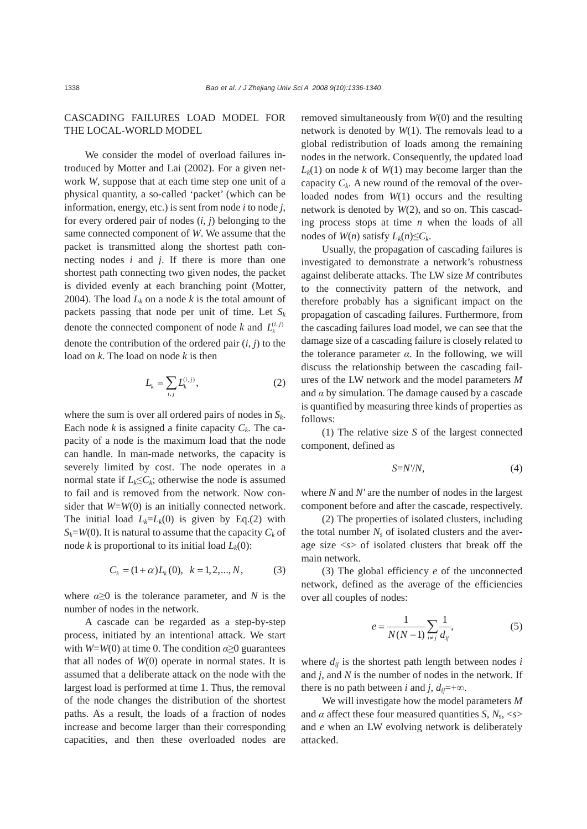# CASCADING FAILURES LOAD MODEL FOR THE LOCAL-WORLD MODEL

We consider the model of overload failures introduced by Motter and Lai (2002). For a given network *W*, suppose that at each time step one unit of a physical quantity, a so-called 'packet' (which can be information, energy, etc.) is sent from node *i* to node *j*, for every ordered pair of nodes (*i*, *j*) belonging to the same connected component of *W*. We assume that the packet is transmitted along the shortest path connecting nodes *i* and *j*. If there is more than one shortest path connecting two given nodes, the packet is divided evenly at each branching point (Motter, 2004). The load  $L_k$  on a node  $k$  is the total amount of packets passing that node per unit of time. Let  $S_k$ denote the connected component of node *k* and  $L_k^{(i,j)}$ denote the contribution of the ordered pair (*i*, *j*) to the load on *k*. The load on node *k* is then

$$
L_k = \sum_{i,j} L_k^{(i,j)},\tag{2}
$$

where the sum is over all ordered pairs of nodes in *Sk*. Each node  $k$  is assigned a finite capacity  $C_k$ . The capacity of a node is the maximum load that the node can handle. In man-made networks, the capacity is severely limited by cost. The node operates in a normal state if  $L_k \leq C_k$ ; otherwise the node is assumed to fail and is removed from the network. Now consider that *W*=*W*(0) is an initially connected network. The initial load  $L_k = L_k(0)$  is given by Eq.(2) with  $S_k = W(0)$ . It is natural to assume that the capacity  $C_k$  of node *k* is proportional to its initial load  $L_k(0)$ :

$$
C_k = (1 + \alpha)L_k(0), \quad k = 1, 2, ..., N,
$$
 (3)

where  $\alpha \geq 0$  is the tolerance parameter, and *N* is the number of nodes in the network.

A cascade can be regarded as a step-by-step process, initiated by an intentional attack. We start with *W*=*W*(0) at time 0. The condition *α*≥0 guarantees that all nodes of *W*(0) operate in normal states. It is assumed that a deliberate attack on the node with the largest load is performed at time 1. Thus, the removal of the node changes the distribution of the shortest paths. As a result, the loads of a fraction of nodes increase and become larger than their corresponding capacities, and then these overloaded nodes are

removed simultaneously from *W*(0) and the resulting network is denoted by *W*(1). The removals lead to a global redistribution of loads among the remaining nodes in the network. Consequently, the updated load  $L_k(1)$  on node *k* of  $W(1)$  may become larger than the capacity  $C_k$ . A new round of the removal of the overloaded nodes from *W*(1) occurs and the resulting network is denoted by *W*(2), and so on. This cascading process stops at time *n* when the loads of all nodes of *W*(*n*) satisfy  $L_k(n) \leq C_k$ .

Usually, the propagation of cascading failures is investigated to demonstrate a network's robustness against deliberate attacks. The LW size *M* contributes to the connectivity pattern of the network, and therefore probably has a significant impact on the propagation of cascading failures. Furthermore, from the cascading failures load model, we can see that the damage size of a cascading failure is closely related to the tolerance parameter  $\alpha$ . In the following, we will discuss the relationship between the cascading failures of the LW network and the model parameters *M* and  $\alpha$  by simulation. The damage caused by a cascade is quantified by measuring three kinds of properties as follows:

(1) The relative size *S* of the largest connected component, defined as

$$
S=N'\!N,\tag{4}
$$

where *N* and *N'* are the number of nodes in the largest component before and after the cascade, respectively.

(2) The properties of isolated clusters, including the total number  $N_s$  of isolated clusters and the average size <*s*> of isolated clusters that break off the main network.

(3) The global efficiency *e* of the unconnected network, defined as the average of the efficiencies over all couples of nodes:

$$
e = \frac{1}{N(N-1)} \sum_{i \neq j} \frac{1}{d_{ij}},
$$
\n(5)

where  $d_{ij}$  is the shortest path length between nodes  $i$ and *j*, and *N* is the number of nodes in the network. If there is no path between *i* and *j*,  $d_{ij}$ =+∞.

We will investigate how the model parameters *M* and  $\alpha$  affect these four measured quantities *S*,  $N_s$ , <*s*> and *e* when an LW evolving network is deliberately attacked.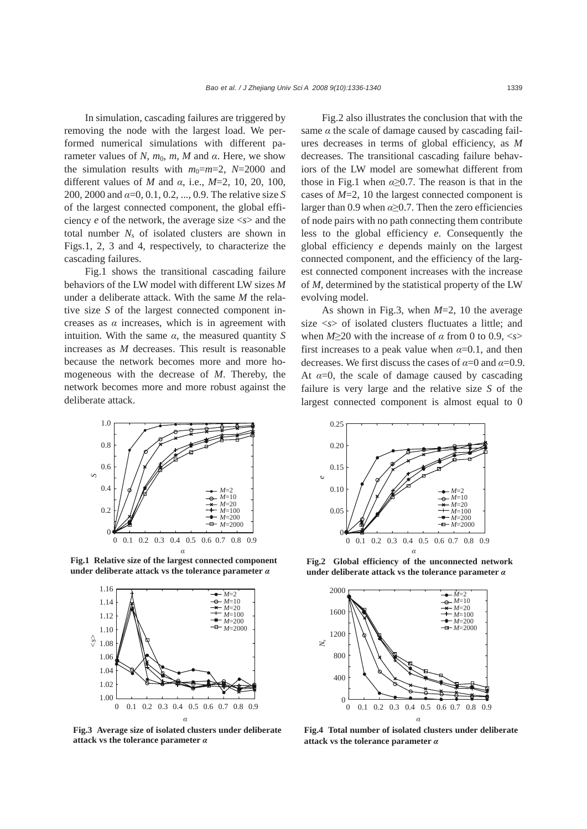In simulation, cascading failures are triggered by removing the node with the largest load. We performed numerical simulations with different parameter values of *N*,  $m_0$ ,  $m$ , *M* and  $\alpha$ . Here, we show the simulation results with  $m_0=m=2$ ,  $N=2000$  and different values of *M* and *α*, i.e., *M*=2, 10, 20, 100, 200, 2000 and *α*=0, 0.1, 0.2, ..., 0.9. The relative size *S* of the largest connected component, the global efficiency *e* of the network, the average size <*s*> and the total number  $N_s$  of isolated clusters are shown in Figs.1, 2, 3 and 4, respectively, to characterize the cascading failures.

Fig.1 shows the transitional cascading failure behaviors of the LW model with different LW sizes *M* under a deliberate attack. With the same *M* the relative size *S* of the largest connected component increases as  $\alpha$  increases, which is in agreement with intuition. With the same  $\alpha$ , the measured quantity *S* increases as *M* decreases. This result is reasonable because the network becomes more and more homogeneous with the decrease of *M*. Thereby, the network becomes more and more robust against the deliberate attack.



**Fig.1 Relative size of the largest connected component under deliberate attack vs the tolerance parameter** *α*



**Fig.3 Average size of isolated clusters under deliberate attack vs the tolerance parameter** *α*

Fig.2 also illustrates the conclusion that with the same  $\alpha$  the scale of damage caused by cascading failures decreases in terms of global efficiency, as *M* decreases. The transitional cascading failure behaviors of the LW model are somewhat different from those in Fig.1 when  $\alpha \geq 0.7$ . The reason is that in the cases of *M*=2, 10 the largest connected component is larger than 0.9 when *α*≥0.7. Then the zero efficiencies of node pairs with no path connecting them contribute less to the global efficiency *e*. Consequently the global efficiency *e* depends mainly on the largest connected component, and the efficiency of the largest connected component increases with the increase of *M*, determined by the statistical property of the LW evolving model.

As shown in Fig.3, when *M*=2, 10 the average size <*s*> of isolated clusters fluctuates a little; and when *M*≥20 with the increase of *α* from 0 to 0.9, <*s*> first increases to a peak value when  $\alpha$ =0.1, and then decreases. We first discuss the cases of  $\alpha=0$  and  $\alpha=0.9$ . At  $\alpha=0$ , the scale of damage caused by cascading failure is very large and the relative size *S* of the largest connected component is almost equal to 0



**Fig.2 Global efficiency of the unconnected network under deliberate attack vs the tolerance parameter** *α*



**Fig.4 Total number of isolated clusters under deliberate attack vs the tolerance parameter** *α*